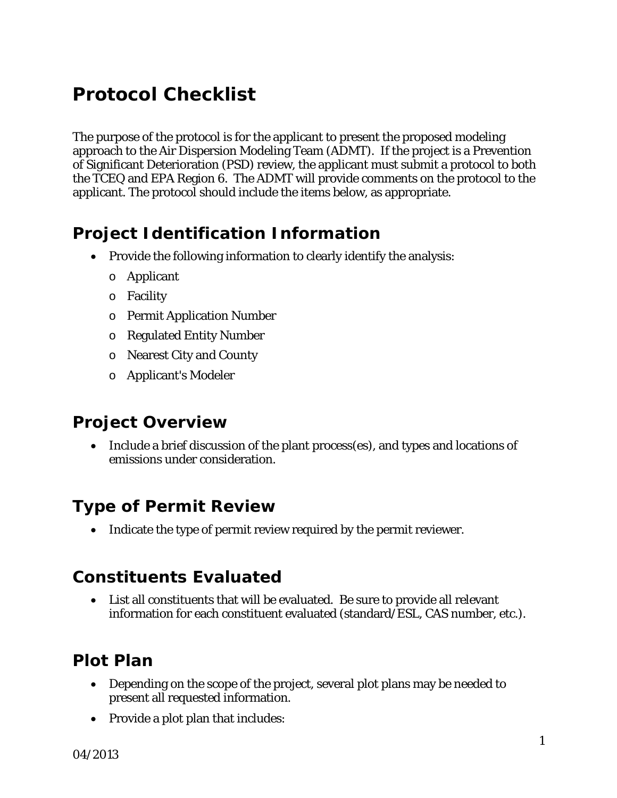# *Protocol Checklist*

The purpose of the protocol is for the applicant to present the proposed modeling approach to the Air Dispersion Modeling Team (ADMT). If the project is a Prevention of Significant Deterioration (PSD) review, the applicant must submit a protocol to both the TCEQ and EPA Region 6. The ADMT will provide comments on the protocol to the applicant. The protocol should include the items below, as appropriate.

#### *Project Identification Information*

- Provide the following information to clearly identify the analysis:
	- o Applicant
	- o Facility
	- o Permit Application Number
	- o Regulated Entity Number
	- o Nearest City and County
	- o Applicant's Modeler

#### *Project Overview*

• Include a brief discussion of the plant process(es), and types and locations of emissions under consideration.

#### *Type of Permit Review*

• Indicate the type of permit review required by the permit reviewer.

#### *Constituents Evaluated*

• List all constituents that will be evaluated. Be sure to provide all relevant information for each constituent evaluated (standard/ESL, CAS number, etc.).

# *Plot Plan*

- Depending on the scope of the project, several plot plans may be needed to present all requested information.
- Provide a plot plan that includes: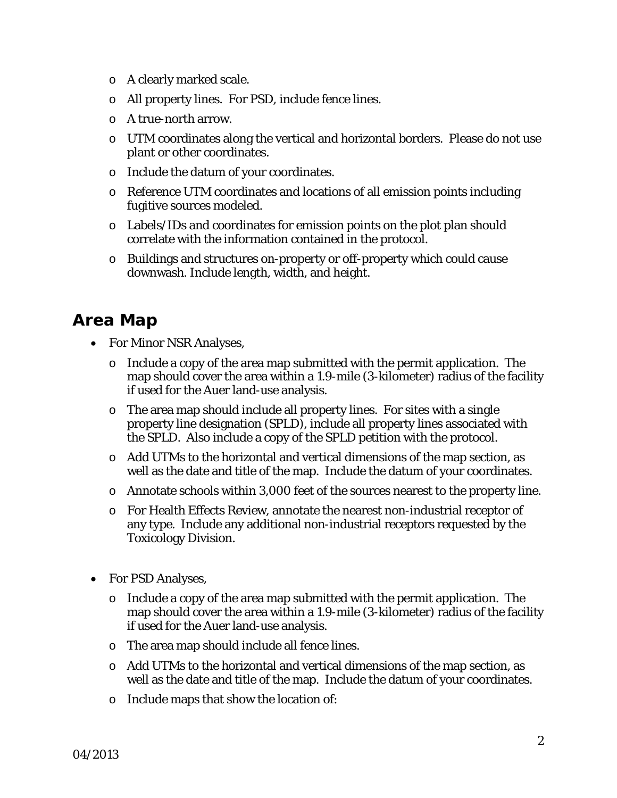- o A clearly marked scale.
- o All property lines. For PSD, include fence lines.
- o A true-north arrow.
- o UTM coordinates along the vertical and horizontal borders. Please do not use plant or other coordinates.
- o Include the datum of your coordinates.
- o Reference UTM coordinates and locations of all emission points including fugitive sources modeled.
- o Labels/IDs and coordinates for emission points on the plot plan should correlate with the information contained in the protocol.
- o Buildings and structures on-property or off-property which could cause downwash. Include length, width, and height.

#### *Area Map*

- For Minor NSR Analyses,
	- o Include a copy of the area map submitted with the permit application. The map should cover the area within a 1.9-mile (3-kilometer) radius of the facility if used for the Auer land-use analysis.
	- o The area map should include all property lines. For sites with a single property line designation (SPLD), include all property lines associated with the SPLD. Also include a copy of the SPLD petition with the protocol.
	- o Add UTMs to the horizontal and vertical dimensions of the map section, as well as the date and title of the map. Include the datum of your coordinates.
	- o Annotate schools within 3,000 feet of the sources nearest to the property line.
	- o For Health Effects Review, annotate the nearest non-industrial receptor of any type. Include any additional non-industrial receptors requested by the Toxicology Division.
- For PSD Analyses,
	- o Include a copy of the area map submitted with the permit application. The map should cover the area within a 1.9-mile (3-kilometer) radius of the facility if used for the Auer land-use analysis.
	- o The area map should include all fence lines.
	- o Add UTMs to the horizontal and vertical dimensions of the map section, as well as the date and title of the map. Include the datum of your coordinates.
	- o Include maps that show the location of: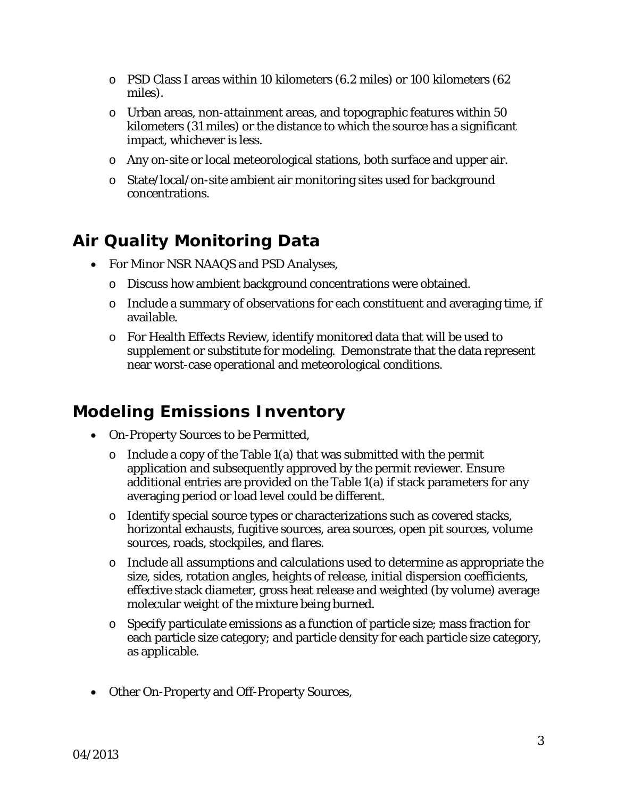- o PSD Class I areas within 10 kilometers (6.2 miles) or 100 kilometers (62 miles).
- o Urban areas, non-attainment areas, and topographic features within 50 kilometers (31 miles) or the distance to which the source has a significant impact, whichever is less.
- o Any on-site or local meteorological stations, both surface and upper air.
- o State/local/on-site ambient air monitoring sites used for background concentrations.

# *Air Quality Monitoring Data*

- For Minor NSR NAAQS and PSD Analyses,
	- o Discuss how ambient background concentrations were obtained.
	- o Include a summary of observations for each constituent and averaging time, if available.
	- o For Health Effects Review, identify monitored data that will be used to supplement or substitute for modeling. Demonstrate that the data represent near worst-case operational and meteorological conditions.

## *Modeling Emissions Inventory*

- On-Property Sources to be Permitted,
	- $\circ$  Include a copy of the Table 1(a) that was submitted with the permit application and subsequently approved by the permit reviewer. Ensure additional entries are provided on the Table 1(a) if stack parameters for any averaging period or load level could be different.
	- o Identify special source types or characterizations such as covered stacks, horizontal exhausts, fugitive sources, area sources, open pit sources, volume sources, roads, stockpiles, and flares.
	- $\circ$  Include all assumptions and calculations used to determine as appropriate the size, sides, rotation angles, heights of release, initial dispersion coefficients, effective stack diameter, gross heat release and weighted (by volume) average molecular weight of the mixture being burned.
	- o Specify particulate emissions as a function of particle size; mass fraction for each particle size category; and particle density for each particle size category, as applicable.
- Other On-Property and Off-Property Sources,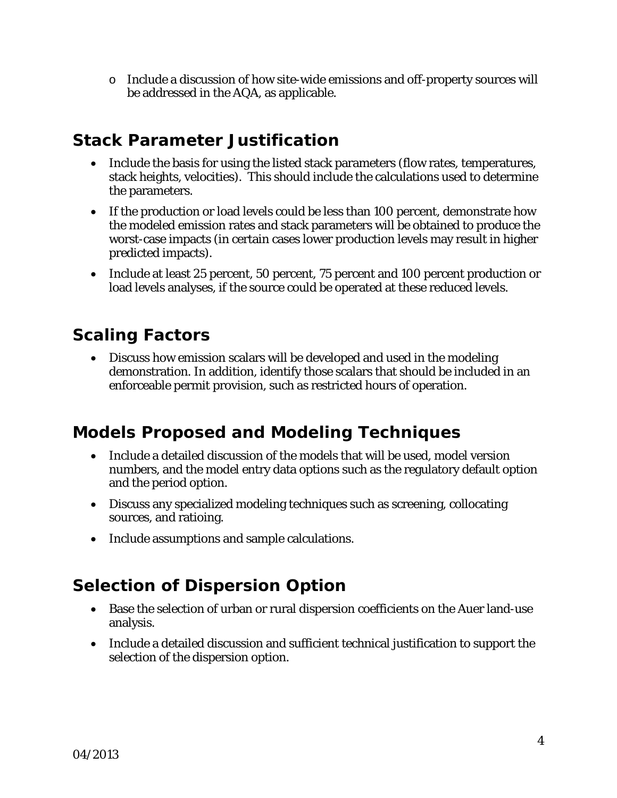o Include a discussion of how site-wide emissions and off-property sources will be addressed in the AQA, as applicable.

#### *Stack Parameter Justification*

- Include the basis for using the listed stack parameters (flow rates, temperatures, stack heights, velocities). This should include the calculations used to determine the parameters.
- If the production or load levels could be less than 100 percent, demonstrate how the modeled emission rates and stack parameters will be obtained to produce the worst-case impacts (in certain cases lower production levels may result in higher predicted impacts).
- Include at least 25 percent, 50 percent, 75 percent and 100 percent production or load levels analyses, if the source could be operated at these reduced levels.

## *Scaling Factors*

• Discuss how emission scalars will be developed and used in the modeling demonstration. In addition, identify those scalars that should be included in an enforceable permit provision, such as restricted hours of operation.

#### *Models Proposed and Modeling Techniques*

- Include a detailed discussion of the models that will be used, model version numbers, and the model entry data options such as the regulatory default option and the period option.
- Discuss any specialized modeling techniques such as screening, collocating sources, and ratioing.
- Include assumptions and sample calculations.

## *Selection of Dispersion Option*

- Base the selection of urban or rural dispersion coefficients on the Auer land-use analysis.
- Include a detailed discussion and sufficient technical justification to support the selection of the dispersion option.